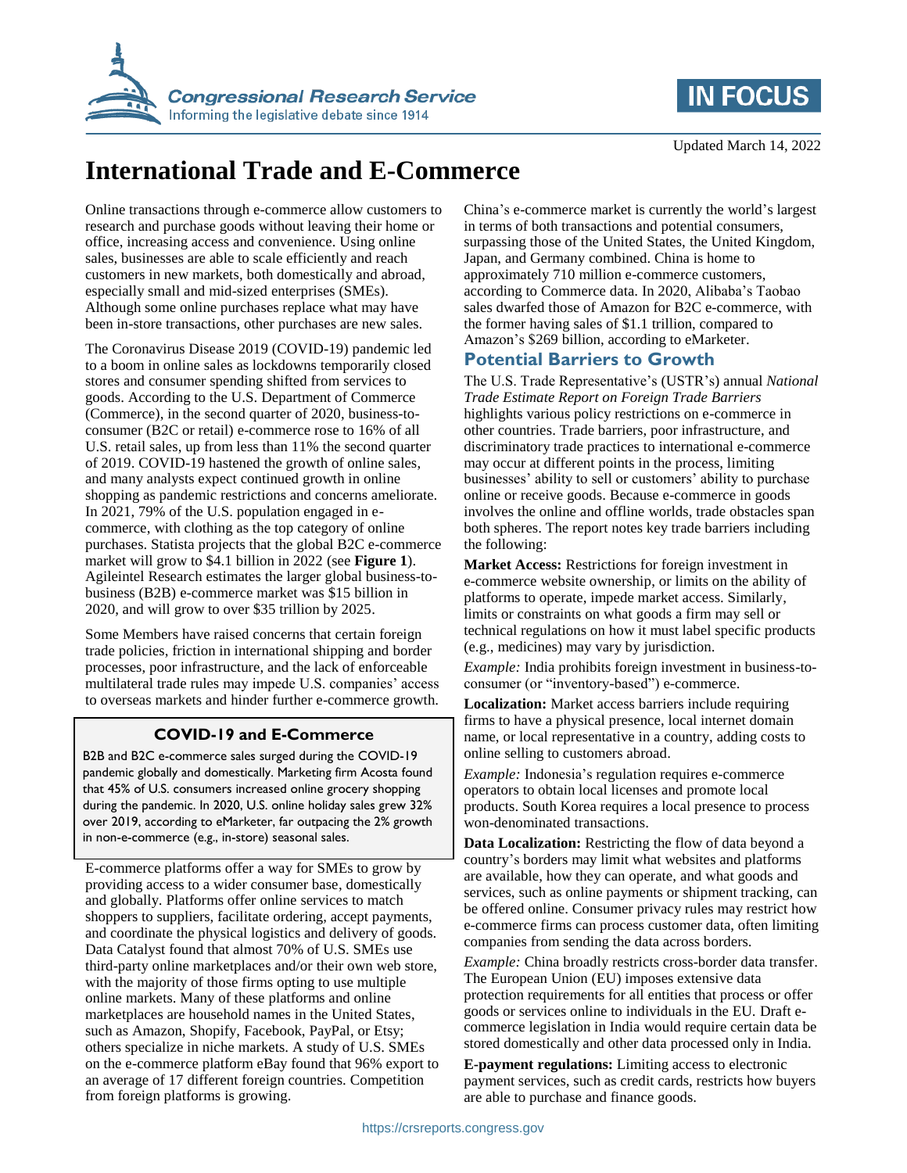



# **International Trade and E-Commerce**

Online transactions through e-commerce allow customers to research and purchase goods without leaving their home or office, increasing access and convenience. Using online sales, businesses are able to scale efficiently and reach customers in new markets, both domestically and abroad, especially small and mid-sized enterprises (SMEs). Although some online purchases replace what may have been in-store transactions, other purchases are new sales.

The Coronavirus Disease 2019 (COVID-19) pandemic led to a boom in online sales as lockdowns temporarily closed stores and consumer spending shifted from services to goods. According to the U.S. Department of Commerce (Commerce), in the second quarter of 2020, business-toconsumer (B2C or retail) e-commerce rose to 16% of all U.S. retail sales, up from less than 11% the second quarter of 2019. COVID-19 hastened the growth of online sales, and many analysts expect continued growth in online shopping as pandemic restrictions and concerns ameliorate. In 2021, 79% of the U.S. population engaged in ecommerce, with clothing as the top category of online purchases. Statista projects that the global B2C e-commerce market will grow to \$4.1 billion in 2022 (see **[Figure 1](#page-1-0)**). Agileintel Research estimates the larger global business-tobusiness (B2B) e-commerce market was \$15 billion in 2020, and will grow to over \$35 trillion by 2025.

Some Members have raised concerns that certain foreign trade policies, friction in international shipping and border processes, poor infrastructure, and the lack of enforceable multilateral trade rules may impede U.S. companies' access to overseas markets and hinder further e-commerce growth.

## **COVID-19 and E-Commerce**

B2B and B2C e-commerce sales surged during the COVID-19 pandemic globally and domestically. Marketing firm Acosta found that 45% of U.S. consumers increased online grocery shopping during the pandemic. In 2020, U.S. online holiday sales grew 32% over 2019, according to eMarketer, far outpacing the 2% growth in non-e-commerce (e.g., in-store) seasonal sales.

E-commerce platforms offer a way for SMEs to grow by providing access to a wider consumer base, domestically and globally. Platforms offer online services to match shoppers to suppliers, facilitate ordering, accept payments, and coordinate the physical logistics and delivery of goods. Data Catalyst found that almost 70% of U.S. SMEs use third-party online marketplaces and/or their own web store, with the majority of those firms opting to use multiple online markets. Many of these platforms and online marketplaces are household names in the United States, such as Amazon, Shopify, Facebook, PayPal, or Etsy; others specialize in niche markets. A study of U.S. SMEs on the e-commerce platform eBay found that 96% export to an average of 17 different foreign countries. Competition from foreign platforms is growing.

China's e-commerce market is currently the world's largest in terms of both transactions and potential consumers, surpassing those of the United States, the United Kingdom, Japan, and Germany combined. China is home to approximately 710 million e-commerce customers, according to Commerce data. In 2020, Alibaba's Taobao sales dwarfed those of Amazon for B2C e-commerce, with the former having sales of \$1.1 trillion, compared to Amazon's \$269 billion, according to eMarketer.

## **Potential Barriers to Growth**

The U.S. Trade Representative's (USTR's) annual *National Trade Estimate Report on Foreign Trade Barriers* highlights various policy restrictions on e-commerce in other countries. Trade barriers, poor infrastructure, and discriminatory trade practices to international e-commerce may occur at different points in the process, limiting businesses' ability to sell or customers' ability to purchase online or receive goods. Because e-commerce in goods involves the online and offline worlds, trade obstacles span both spheres. The report notes key trade barriers including the following:

**Market Access:** Restrictions for foreign investment in e-commerce website ownership, or limits on the ability of platforms to operate, impede market access. Similarly, limits or constraints on what goods a firm may sell or technical regulations on how it must label specific products (e.g., medicines) may vary by jurisdiction.

*Example:* India prohibits foreign investment in business-toconsumer (or "inventory-based") e-commerce.

**Localization:** Market access barriers include requiring firms to have a physical presence, local internet domain name, or local representative in a country, adding costs to online selling to customers abroad.

*Example:* Indonesia's regulation requires e-commerce operators to obtain local licenses and promote local products. South Korea requires a local presence to process won-denominated transactions.

**Data Localization:** Restricting the flow of data beyond a country's borders may limit what websites and platforms are available, how they can operate, and what goods and services, such as online payments or shipment tracking, can be offered online. Consumer privacy rules may restrict how e-commerce firms can process customer data, often limiting companies from sending the data across borders.

*Example:* China broadly restricts cross-border data transfer. The European Union (EU) imposes extensive data protection requirements for all entities that process or offer goods or services online to individuals in the EU. Draft ecommerce legislation in India would require certain data be stored domestically and other data processed only in India.

**E-payment regulations:** Limiting access to electronic payment services, such as credit cards, restricts how buyers are able to purchase and finance goods.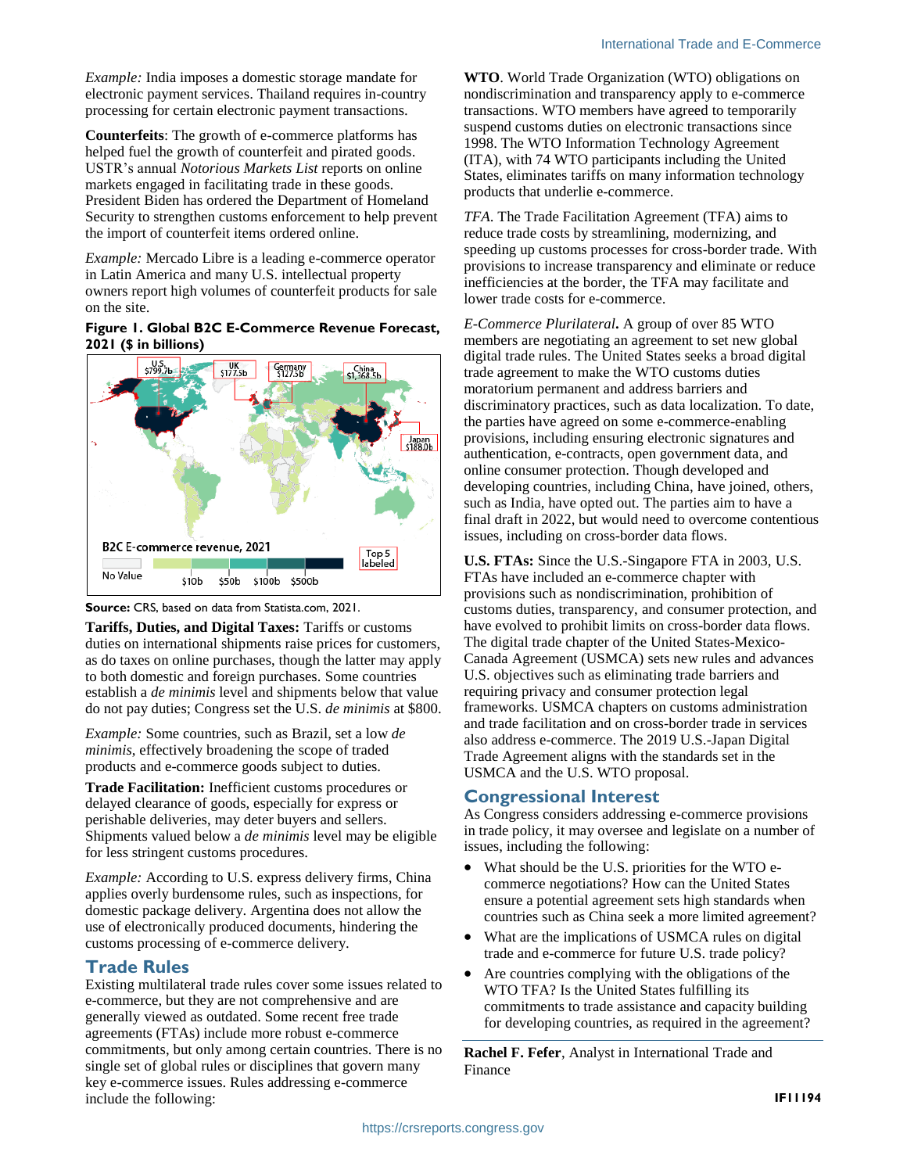*Example:* India imposes a domestic storage mandate for electronic payment services. Thailand requires in-country processing for certain electronic payment transactions.

**Counterfeits**: The growth of e-commerce platforms has helped fuel the growth of counterfeit and pirated goods. USTR's annual *Notorious Markets List* reports on online markets engaged in facilitating trade in these goods. President Biden has ordered the Department of Homeland Security to strengthen customs enforcement to help prevent the import of counterfeit items ordered online.

*Example:* Mercado Libre is a leading e-commerce operator in Latin America and many U.S. intellectual property owners report high volumes of counterfeit products for sale on the site.

#### <span id="page-1-0"></span>**Figure 1. Global B2C E-Commerce Revenue Forecast, 2021 (\$ in billions)**





**Tariffs, Duties, and Digital Taxes:** Tariffs or customs duties on international shipments raise prices for customers, as do taxes on online purchases, though the latter may apply to both domestic and foreign purchases. Some countries establish a *de minimis* level and shipments below that value do not pay duties; Congress set the U.S. *de minimis* at \$800.

*Example:* Some countries, such as Brazil, set a low *de minimis*, effectively broadening the scope of traded products and e-commerce goods subject to duties.

**Trade Facilitation:** Inefficient customs procedures or delayed clearance of goods, especially for express or perishable deliveries, may deter buyers and sellers. Shipments valued below a *de minimis* level may be eligible for less stringent customs procedures.

*Example:* According to U.S. express delivery firms, China applies overly burdensome rules, such as inspections, for domestic package delivery. Argentina does not allow the use of electronically produced documents, hindering the customs processing of e-commerce delivery.

## **Trade Rules**

Existing multilateral trade rules cover some issues related to e-commerce, but they are not comprehensive and are generally viewed as outdated. Some recent free trade agreements (FTAs) include more robust e-commerce commitments, but only among certain countries. There is no single set of global rules or disciplines that govern many key e-commerce issues. Rules addressing e-commerce include the following:

**WTO**. World Trade Organization (WTO) obligations on nondiscrimination and transparency apply to e-commerce transactions. WTO members have agreed to temporarily suspend customs duties on electronic transactions since 1998. The WTO Information Technology Agreement (ITA), with 74 WTO participants including the United States, eliminates tariffs on many information technology products that underlie e-commerce.

*TFA*. The Trade Facilitation Agreement (TFA) aims to reduce trade costs by streamlining, modernizing, and speeding up customs processes for cross-border trade. With provisions to increase transparency and eliminate or reduce inefficiencies at the border, the TFA may facilitate and lower trade costs for e-commerce.

*E-Commerce Plurilateral***.** A group of over 85 WTO members are negotiating an agreement to set new global digital trade rules. The United States seeks a broad digital trade agreement to make the WTO customs duties moratorium permanent and address barriers and discriminatory practices, such as data localization. To date, the parties have agreed on some e-commerce-enabling provisions, including ensuring electronic signatures and authentication, e-contracts, open government data, and online consumer protection. Though developed and developing countries, including China, have joined, others, such as India, have opted out. The parties aim to have a final draft in 2022, but would need to overcome contentious issues, including on cross-border data flows.

**U.S. FTAs:** Since the U.S.-Singapore FTA in 2003, U.S. FTAs have included an e-commerce chapter with provisions such as nondiscrimination, prohibition of customs duties, transparency, and consumer protection, and have evolved to prohibit limits on cross-border data flows. The digital trade chapter of the United States-Mexico-Canada Agreement (USMCA) sets new rules and advances U.S. objectives such as eliminating trade barriers and requiring privacy and consumer protection legal frameworks. USMCA chapters on customs administration and trade facilitation and on cross-border trade in services also address e-commerce. The 2019 U.S.-Japan Digital Trade Agreement aligns with the standards set in the USMCA and the U.S. WTO proposal.

## **Congressional Interest**

As Congress considers addressing e-commerce provisions in trade policy, it may oversee and legislate on a number of issues, including the following:

- What should be the U.S. priorities for the WTO ecommerce negotiations? How can the United States ensure a potential agreement sets high standards when countries such as China seek a more limited agreement?
- What are the implications of USMCA rules on digital trade and e-commerce for future U.S. trade policy?
- Are countries complying with the obligations of the WTO TFA? Is the United States fulfilling its commitments to trade assistance and capacity building for developing countries, as required in the agreement?

**Rachel F. Fefer**, Analyst in International Trade and Finance